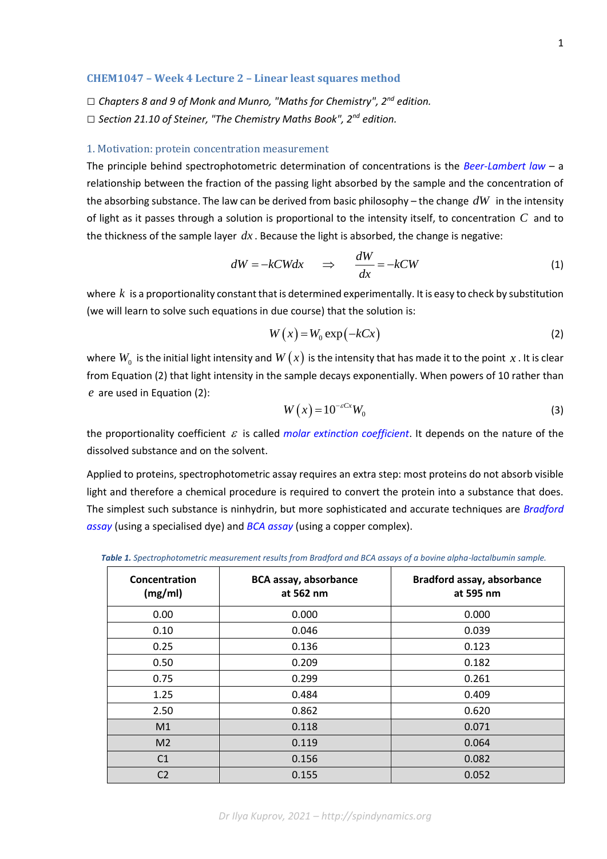### **CHEM1047 – Week 4 Lecture 2 – Linear least squares method**

*□ Chapters 8 and 9 of Monk and Munro, "Maths for Chemistry", 2nd edition. □ Section 21.10 of Steiner, "The Chemistry Maths Book", 2nd edition.*

### 1. Motivation: protein concentration measurement

The principle behind spectrophotometric determination of concentrations is the *[Beer-Lambert law](https://en.wikipedia.org/wiki/Beer%E2%80%93Lambert_law)* – a relationship between the fraction of the passing light absorbed by the sample and the concentration of the absorbing substance. The law can be derived from basic philosophy – the change *dW* in the intensity of light as it passes through a solution is proportional to the intensity itself, to concentration *C* and to the thickness of the sample layer  $dx$  . Because the light is absorbed, the change is negative:

$$
dW = -kCW dx \quad \Rightarrow \quad \frac{dW}{dx} = -kCW \tag{1}
$$

where  $\,k\,$  is a proportionality constant that is determined experimentally. It is easy to check by substitution (we will learn to solve such equations in due course) that the solution is:

$$
W(x) = W_0 \exp(-kCx) \tag{2}
$$

where  $W_0^+$  is the initial light intensity and  $W\big(x\big)$  is the intensity that has made it to the point  $\,x$  . It is clear from Equation (2) that light intensity in the sample decays exponentially. When powers of 10 rather than *e* are used in Equation (2):

$$
W(x) = 10^{-\varepsilon Cx} W_0 \tag{3}
$$

the proportionality coefficient  $\varepsilon$  is called *molar [extinction coefficient](https://en.wikipedia.org/wiki/Molar_attenuation_coefficient)*. It depends on the nature of the dissolved substance and on the solvent.

Applied to proteins, spectrophotometric assay requires an extra step: most proteins do not absorb visible light and therefore a chemical procedure is required to convert the protein into a substance that does. The simplest such substance is ninhydrin, but more sophisticated and accurate techniques are *[Bradford](https://en.wikipedia.org/wiki/Bradford_protein_assay)  [assay](https://en.wikipedia.org/wiki/Bradford_protein_assay)* (using a specialised dye) and *[BCA assay](https://en.wikipedia.org/wiki/Bicinchoninic_acid_assay)* (using a copper complex).

*Table 1. Spectrophotometric measurement results from Bradford and BCA assays of a bovine alpha-lactalbumin sample.*

| Concentration<br>(mg/ml) | <b>BCA assay, absorbance</b><br>at 562 nm | <b>Bradford assay, absorbance</b><br>at 595 nm |
|--------------------------|-------------------------------------------|------------------------------------------------|
| 0.00                     | 0.000                                     | 0.000                                          |
| 0.10                     | 0.046                                     | 0.039                                          |
| 0.25                     | 0.136                                     | 0.123                                          |
| 0.50                     | 0.209                                     | 0.182                                          |
| 0.75                     | 0.299                                     | 0.261                                          |
| 1.25                     | 0.484                                     | 0.409                                          |
| 2.50                     | 0.862                                     | 0.620                                          |
| M1                       | 0.118                                     | 0.071                                          |
| M <sub>2</sub>           | 0.119                                     | 0.064                                          |
| C <sub>1</sub>           | 0.156                                     | 0.082                                          |
| C <sub>2</sub>           | 0.155                                     | 0.052                                          |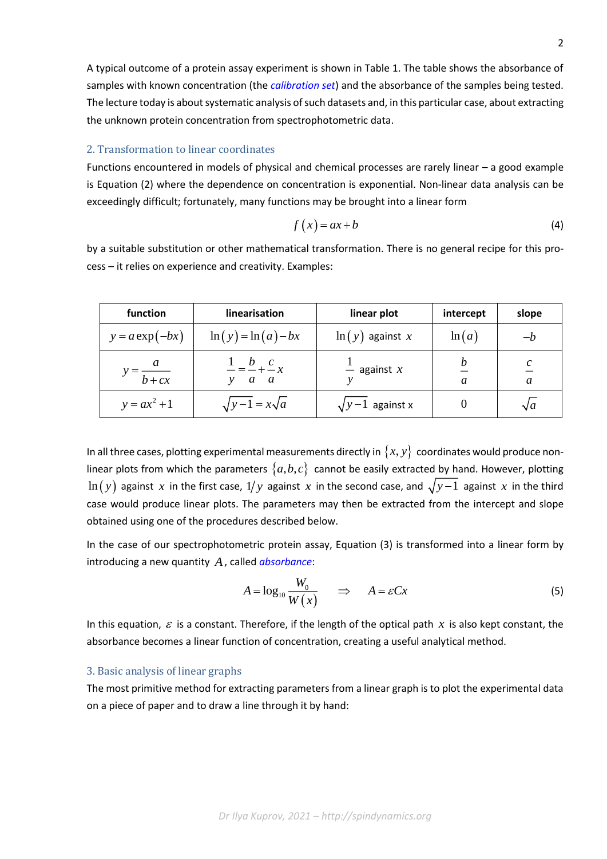A typical outcome of a protein assay experiment is shown in Table 1. The table shows the absorbance of samples with known concentration (the *[calibration set](https://en.wikipedia.org/wiki/Calibration_curve)*) and the absorbance of the samples being tested. The lecture today is about systematic analysis of such datasets and, in this particular case, about extracting the unknown protein concentration from spectrophotometric data.

# 2. Transformation to linear coordinates

Functions encountered in models of physical and chemical processes are rarely linear – a good example is Equation (2) where the dependence on concentration is exponential. Non-linear data analysis can be exceedingly difficult; fortunately, many functions may be brought into a linear form

$$
f(x) = ax + b \tag{4}
$$

by a suitable substitution or other mathematical transformation. There is no general recipe for this process – it relies on experience and creativity. Examples:

| function             | linearisation                              | linear plot             | intercept | slope      |
|----------------------|--------------------------------------------|-------------------------|-----------|------------|
| $y = a \exp(-bx)$    | $\ln(y) = \ln(a) - bx$                     | $\ln(y)$ against x      | ln(a)     | —h         |
| $v = \frac{a}{b+cx}$ | $\frac{1}{y} = \frac{b}{a} + \frac{c}{a}x$ | $\frac{1}{x}$ against x | a         | a          |
| $y = ax^2 + 1$       | $\sqrt{y-1} = x\sqrt{a}$                   | $\sqrt{y-1}$ against x  |           | $\sqrt{a}$ |

In all three cases, plotting experimental measurements directly in  $\{x, y\}$  coordinates would produce nonlinear plots from which the parameters  $\{a,b,c\}$  cannot be easily extracted by hand. However, plotting  $\ln(y)$  against  $x$  in the first case,  $1/y$  against  $x$  in the second case, and  $\sqrt{y-1}$  against  $x$  in the third case would produce linear plots. The parameters may then be extracted from the intercept and slope obtained using one of the procedures described below.

In the case of our spectrophotometric protein assay, Equation (3) is transformed into a linear form by introducing a new quantity *A*, called *[absorbance](https://en.wikipedia.org/wiki/Absorbance)*:

$$
A = \log_{10} \frac{W_0}{W(x)} \qquad \Rightarrow \qquad A = \varepsilon C x \tag{5}
$$

In this equation,  $\varepsilon$  is a constant. Therefore, if the length of the optical path  $x$  is also kept constant, the absorbance becomes a linear function of concentration, creating a useful analytical method.

## 3. Basic analysis of linear graphs

The most primitive method for extracting parameters from a linear graph is to plot the experimental data on a piece of paper and to draw a line through it by hand: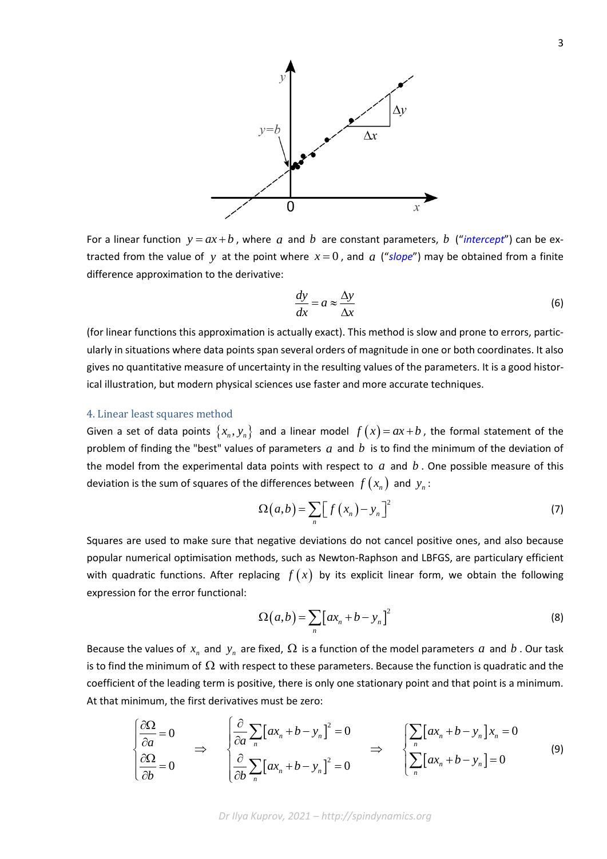

For a linear function  $y = ax + b$ , where a and b are constant parameters, b ("*[intercept](https://en.wikipedia.org/wiki/Y-intercept)*") can be extracted from the value of y at the point where  $x=0$ , and  $a$  ("[slope](https://en.wikipedia.org/wiki/Slope)") may be obtained from a finite difference approximation to the derivative:

$$
\frac{dy}{dx} = a \approx \frac{\Delta y}{\Delta x} \tag{6}
$$

(for linear functions this approximation is actually exact). This method is slow and prone to errors, particularly in situations where data points span several orders of magnitude in one or both coordinates. It also gives no quantitative measure of uncertainty in the resulting values of the parameters. It is a good historical illustration, but modern physical sciences use faster and more accurate techniques.

### 4. Linear least squares method

Given a set of data points  $\{x_n, y_n\}$  and a linear model  $f(x)$  =  $ax$  +  $b$ , the formal statement of the problem of finding the "best" values of parameters  $a$  and  $b$  is to find the minimum of the deviation of the model from the experimental data points with respect to  $a$  and  $b$  . One possible measure of this deviation is the sum of squares of the differences between  $f\left(x_{_{n}}\right)$  and  $y_{_{n}}$ :

$$
\Omega(a,b) = \sum_{n} \left[ f(x_n) - y_n \right]^2 \tag{7}
$$

Squares are used to make sure that negative deviations do not cancel positive ones, and also because popular numerical optimisation methods, such as Newton-Raphson and LBFGS, are particulary efficient with quadratic functions. After replacing  $f(x)$  by its explicit linear form, we obtain the following expression for the error functional:

$$
\Omega(a,b) = \sum_{n} \left[ a x_n + b - y_n \right]^2 \tag{8}
$$

Because the values of  $x_n$  and  $y_n$  are fixed,  $\Omega$  is a function of the model parameters  $a$  and  $b$ . Our task is to find the minimum of  $\Omega$  with respect to these parameters. Because the function is quadratic and the coefficient of the leading term is positive, there is only one stationary point and that point is a minimum.<br>At th coefficient of the leading term is positive, there is only one stationary point and that point is a minimum.<br>
At that minimum, the first derivatives must be zero:<br>  $\left[\frac{\partial \Omega}{\partial a} = 0\right] \left[\frac{\partial}{\partial a} \sum_{n} [ax_{n} + b - y_{n}]^{2} = 0 \right]$ At that minimum, the first derivatives must be zero:

of the leading term is positive, there is only one stationary point and that point is a minimum.  
\nminimum, the first derivatives must be zero:  
\n
$$
\begin{cases}\n\frac{\partial \Omega}{\partial a} = 0 \\
\frac{\partial \Omega}{\partial b} = 0\n\end{cases}\n\Rightarrow\n\begin{cases}\n\frac{\partial}{\partial a} \sum_{n} [ax_{n} + b - y_{n}]^{2} = 0 \\
\frac{\partial}{\partial b} \sum_{n} [ax_{n} + b - y_{n}]^{2} = 0\n\end{cases}\n\Rightarrow\n\begin{cases}\n\sum_{n} [ax_{n} + b - y_{n}]x_{n} = 0 \\
\sum_{n} [ax_{n} + b - y_{n}] = 0\n\end{cases}
$$
\n(9)

*Dr Ilya Kuprov, 2021 – http://spindynamics.org*